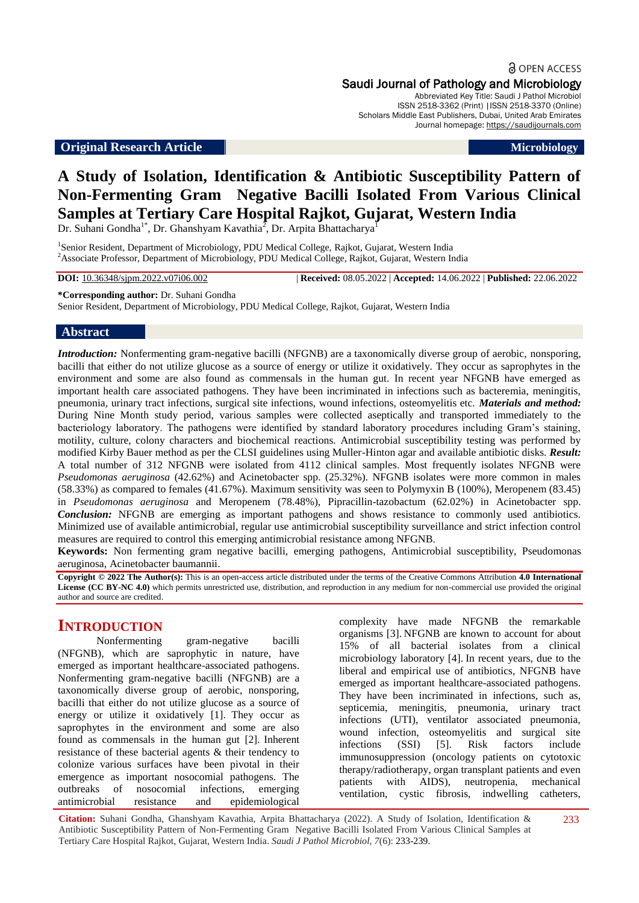a OPEN ACCESS Saudi Journal of Pathology and Microbiology

Abbreviated Key Title: Saudi J Pathol Microbiol ISSN 2518-3362 (Print) |ISSN 2518-3370 (Online) Scholars Middle East Publishers, Dubai, United Arab Emirates Journal homepage: [https://saudijournals.com](https://saudijournals.com/sjpm)

#### **Original Research Article Microbiology**

# **A Study of Isolation, Identification & Antibiotic Susceptibility Pattern of Non-Fermenting Gram Negative Bacilli Isolated From Various Clinical Samples at Tertiary Care Hospital Rajkot, Gujarat, Western India**

Dr. Suhani Gondha<sup>1\*</sup>, Dr. Ghanshyam Kavathia<sup>2</sup>, Dr. Arpita Bhattacharya<sup>1</sup>

<sup>1</sup>Senior Resident, Department of Microbiology, PDU Medical College, Rajkot, Gujarat, Western India <sup>2</sup>Associate Professor, Department of Microbiology, PDU Medical College, Rajkot, Gujarat, Western India

**DOI:** 10.36348/sjpm.2022.v07i06.002 | **Received:** 08.05.2022 | **Accepted:** 14.06.2022 | **Published:** 22.06.2022

#### **\*Corresponding author:** Dr. Suhani Gondha

Senior Resident, Department of Microbiology, PDU Medical College, Rajkot, Gujarat, Western India

#### **Abstract**

*Introduction:* Nonfermenting gram-negative bacilli (NFGNB) are a taxonomically diverse group of aerobic, nonsporing, bacilli that either do not utilize glucose as a source of energy or utilize it oxidatively. They occur as saprophytes in the environment and some are also found as commensals in the human gut. In recent year NFGNB have emerged as important health care associated pathogens. They have been incriminated in infections such as bacteremia, meningitis, pneumonia, urinary tract infections, surgical site infections, wound infections, osteomyelitis etc. *Materials and method:* During Nine Month study period, various samples were collected aseptically and transported immediately to the bacteriology laboratory. The pathogens were identified by standard laboratory procedures including Gram's staining, motility, culture, colony characters and biochemical reactions. Antimicrobial susceptibility testing was performed by modified Kirby Bauer method as per the CLSI guidelines using Muller-Hinton agar and available antibiotic disks. *Result:* A total number of 312 NFGNB were isolated from 4112 clinical samples. Most frequently isolates NFGNB were *Pseudomonas aeruginosa* (42.62%) and Acinetobacter spp. (25.32%). NFGNB isolates were more common in males (58.33%) as compared to females (41.67%). Maximum sensitivity was seen to Polymyxin B (100%), Meropenem (83.45) in *Pseudomonas aeruginosa* and Meropenem (78.48%), Pipracillin-tazobactum (62.02%) in Acinetobacter spp. *Conclusion:* NFGNB are emerging as important pathogens and shows resistance to commonly used antibiotics. Minimized use of available antimicrobial, regular use antimicrobial susceptibility surveillance and strict infection control measures are required to control this emerging antimicrobial resistance among NFGNB.

**Keywords:** Non fermenting gram negative bacilli, emerging pathogens, Antimicrobial susceptibility, Pseudomonas aeruginosa, Acinetobacter baumannii.

**Copyright © 2022 The Author(s):** This is an open-access article distributed under the terms of the Creative Commons Attribution **4.0 International License (CC BY-NC 4.0)** which permits unrestricted use, distribution, and reproduction in any medium for non-commercial use provided the original author and source are credited.

#### **INTRODUCTION**

Nonfermenting gram-negative bacilli (NFGNB), which are saprophytic in nature, have emerged as important healthcare-associated pathogens. Nonfermenting gram-negative bacilli (NFGNB) are a taxonomically diverse group of aerobic, nonsporing, bacilli that either do not utilize glucose as a source of energy or utilize it oxidatively [1]. They occur as saprophytes in the environment and some are also found as commensals in the human gut [2]. Inherent resistance of these bacterial agents & their tendency to colonize various surfaces have been pivotal in their emergence as important nosocomial pathogens. The outbreaks of nosocomial infections, emerging antimicrobial resistance and epidemiological

complexity have made NFGNB the remarkable organisms [3]. NFGNB are known to account for about 15% of all bacterial isolates from a clinical microbiology laboratory [4]. In recent years, due to the liberal and empirical use of antibiotics, NFGNB have emerged as important healthcare-associated pathogens. They have been incriminated in infections, such as, septicemia, meningitis, pneumonia, urinary tract infections (UTI), ventilator associated pneumonia, wound infection, osteomyelitis and surgical site infections (SSI) [5]. Risk factors include immunosuppression (oncology patients on cytotoxic therapy/radiotherapy, organ transplant patients and even patients with AIDS), neutropenia, mechanical ventilation, cystic fibrosis, indwelling catheters,

**Citation:** Suhani Gondha, Ghanshyam Kavathia, Arpita Bhattacharya (2022). A Study of Isolation, Identification & Antibiotic Susceptibility Pattern of Non-Fermenting Gram Negative Bacilli Isolated From Various Clinical Samples at Tertiary Care Hospital Rajkot, Gujarat, Western India. *Saudi J Pathol Microbiol, 7*(6): 233-239.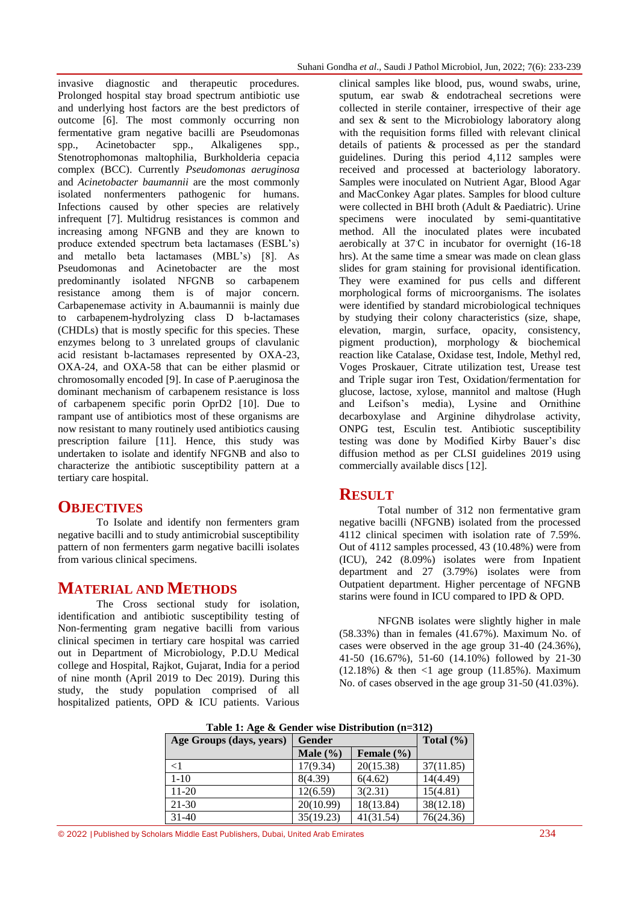invasive diagnostic and therapeutic procedures. Prolonged hospital stay broad spectrum antibiotic use and underlying host factors are the best predictors of outcome [6]. The most commonly occurring non fermentative gram negative bacilli are Pseudomonas spp., Acinetobacter spp., Alkaligenes spp., Stenotrophomonas maltophilia, Burkholderia cepacia complex (BCC). Currently *Pseudomonas aeruginosa*  and *Acinetobacter baumannii* are the most commonly isolated nonfermenters pathogenic for humans. Infections caused by other species are relatively infrequent [7]. Multidrug resistances is common and increasing among NFGNB and they are known to produce extended spectrum beta lactamases (ESBL's) and metallo beta lactamases (MBL's) [8]. As Pseudomonas and Acinetobacter are the most predominantly isolated NFGNB so carbapenem resistance among them is of major concern. Carbapenemase activity in A.baumannii is mainly due to carbapenem-hydrolyzing class D b-lactamases (CHDLs) that is mostly specific for this species. These enzymes belong to 3 unrelated groups of clavulanic acid resistant b-lactamases represented by OXA-23, OXA-24, and OXA-58 that can be either plasmid or chromosomally encoded [9]. In case of P.aeruginosa the dominant mechanism of carbapenem resistance is loss of carbapenem specific porin OprD2 [10]. Due to rampant use of antibiotics most of these organisms are now resistant to many routinely used antibiotics causing prescription failure [11]. Hence, this study was undertaken to isolate and identify NFGNB and also to characterize the antibiotic susceptibility pattern at a tertiary care hospital.

## **OBJECTIVES**

To Isolate and identify non fermenters gram negative bacilli and to study antimicrobial susceptibility pattern of non fermenters garm negative bacilli isolates from various clinical specimens.

#### **MATERIAL AND METHODS**

The Cross sectional study for isolation, identification and antibiotic susceptibility testing of Non-fermenting gram negative bacilli from various clinical specimen in tertiary care hospital was carried out in Department of Microbiology, P.D.U Medical college and Hospital, Rajkot, Gujarat, India for a period of nine month (April 2019 to Dec 2019). During this study, the study population comprised of all hospitalized patients, OPD & ICU patients. Various

clinical samples like blood, pus, wound swabs, urine, sputum, ear swab & endotracheal secretions were collected in sterile container, irrespective of their age and sex & sent to the Microbiology laboratory along with the requisition forms filled with relevant clinical details of patients & processed as per the standard guidelines. During this period 4,112 samples were received and processed at bacteriology laboratory. Samples were inoculated on Nutrient Agar, Blood Agar and MacConkey Agar plates. Samples for blood culture were collected in BHI broth (Adult & Paediatric). Urine specimens were inoculated by semi-quantitative method. All the inoculated plates were incubated aerobically at 37.C in incubator for overnight (16-18 hrs). At the same time a smear was made on clean glass slides for gram staining for provisional identification. They were examined for pus cells and different morphological forms of microorganisms. The isolates were identified by standard microbiological techniques by studying their colony characteristics (size, shape, elevation, margin, surface, opacity, consistency, pigment production), morphology & biochemical reaction like Catalase, Oxidase test, Indole, Methyl red, Voges Proskauer, Citrate utilization test, Urease test and Triple sugar iron Test, Oxidation/fermentation for glucose, lactose, xylose, mannitol and maltose (Hugh and Leifson's media), Lysine and Ornithine decarboxylase and Arginine dihydrolase activity, ONPG test, Esculin test. Antibiotic susceptibility testing was done by Modified Kirby Bauer's disc diffusion method as per CLSI guidelines 2019 using commercially available discs [12].

## **RESULT**

Total number of 312 non fermentative gram negative bacilli (NFGNB) isolated from the processed 4112 clinical specimen with isolation rate of 7.59%. Out of 4112 samples processed, 43 (10.48%) were from (ICU), 242 (8.09%) isolates were from Inpatient department and 27 (3.79%) isolates were from Outpatient department. Higher percentage of NFGNB starins were found in ICU compared to IPD & OPD.

NFGNB isolates were slightly higher in male (58.33%) than in females (41.67%). Maximum No. of cases were observed in the age group 31-40 (24.36%), 41-50 (16.67%), 51-60 (14.10%) followed by 21-30  $(12.18\%)$  & then <1 age group  $(11.85\%)$ . Maximum No. of cases observed in the age group 31-50 (41.03%).

| Twore 1, $\log c$ as octaved which below the $\ln c$ and $\log c$ |              |                |           |  |  |
|-------------------------------------------------------------------|--------------|----------------|-----------|--|--|
| Age Groups (days, years)                                          | Gender       | Total $(\% )$  |           |  |  |
|                                                                   | Male $(\% )$ | Female $(\% )$ |           |  |  |
| $\leq$ 1                                                          | 17(9.34)     | 20(15.38)      | 37(11.85) |  |  |
| $1 - 10$                                                          | 8(4.39)      | 6(4.62)        | 14(4.49)  |  |  |
| $11 - 20$                                                         | 12(6.59)     | 3(2.31)        | 15(4.81)  |  |  |
| $21 - 30$                                                         | 20(10.99)    | 18(13.84)      | 38(12.18) |  |  |
| $31-40$                                                           | 35(19.23)    | 41(31.54)      | 76(24.36) |  |  |

**Table 1: Age & Gender wise Distribution (n=312)**

© 2022 |Published by Scholars Middle East Publishers, Dubai, United Arab Emirates 234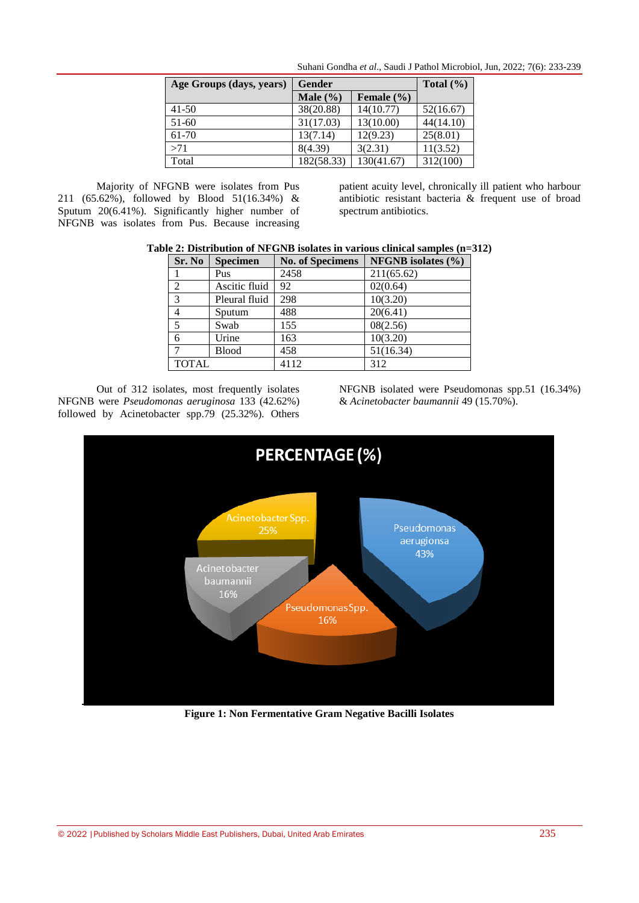| Age Groups (days, years) | Gender       | Total $(\% )$  |           |
|--------------------------|--------------|----------------|-----------|
|                          | Male $(\% )$ | Female $(\% )$ |           |
| $41-50$                  | 38(20.88)    | 14(10.77)      | 52(16.67) |
| 51-60                    | 31(17.03)    | 13(10.00)      | 44(14.10) |
| 61-70                    | 13(7.14)     | 12(9.23)       | 25(8.01)  |
| >71                      | 8(4.39)      | 3(2.31)        | 11(3.52)  |
| Total                    | 182(58.33)   | 130(41.67)     | 312(100)  |

Suhani Gondha *et al*., Saudi J Pathol Microbiol, Jun, 2022; 7(6): 233-239

Majority of NFGNB were isolates from Pus 211 (65.62%), followed by Blood 51(16.34%) & Sputum 20(6.41%). Significantly higher number of NFGNB was isolates from Pus. Because increasing

patient acuity level, chronically ill patient who harbour antibiotic resistant bacteria & frequent use of broad spectrum antibiotics.

| Sr. No         | <b>Specimen</b> | <b>No. of Specimens</b> | NFGNB isolates (%) |
|----------------|-----------------|-------------------------|--------------------|
|                | Pus             | 2458                    | 211(65.62)         |
| 2              | Ascitic fluid   | 92                      | 02(0.64)           |
| $\overline{3}$ | Pleural fluid   | 298                     | 10(3.20)           |
| $\overline{4}$ | Sputum          | 488                     | 20(6.41)           |
| 5              | Swab            | 155                     | 08(2.56)           |
| 6              | Urine           | 163                     | 10(3.20)           |
|                | <b>Blood</b>    | 458                     | 51(16.34)          |
| <b>TOTAL</b>   |                 | 4112                    | 312                |

Out of 312 isolates, most frequently isolates NFGNB were *Pseudomonas aeruginosa* 133 (42.62%) followed by Acinetobacter spp.79 (25.32%). Others

NFGNB isolated were Pseudomonas spp.51 (16.34%) & *Acinetobacter baumannii* 49 (15.70%).



**Figure 1: Non Fermentative Gram Negative Bacilli Isolates**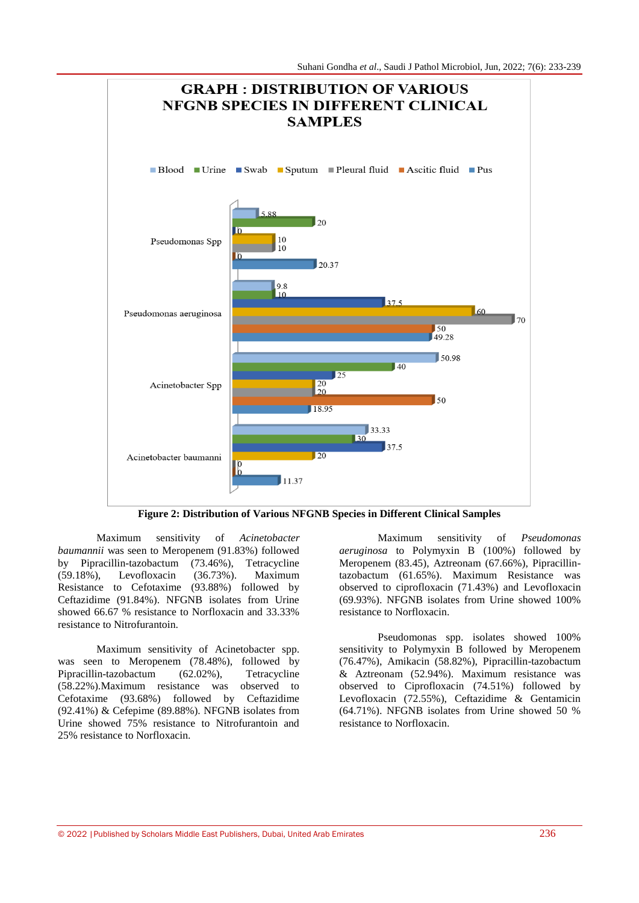

**Figure 2: Distribution of Various NFGNB Species in Different Clinical Samples**

Maximum sensitivity of *Acinetobacter baumannii* was seen to Meropenem (91.83%) followed by Pipracillin-tazobactum (73.46%), Tetracycline (59.18%), Levofloxacin (36.73%). Maximum Resistance to Cefotaxime (93.88%) followed by Ceftazidime (91.84%). NFGNB isolates from Urine showed 66.67 % resistance to Norfloxacin and 33.33% resistance to Nitrofurantoin.

Maximum sensitivity of Acinetobacter spp. was seen to Meropenem (78.48%), followed by Pipracillin-tazobactum (62.02%), Tetracycline (58.22%).Maximum resistance was observed to Cefotaxime (93.68%) followed by Ceftazidime  $(92.41\%)$  & Cefepime  $(89.88\%)$ . NFGNB isolates from Urine showed 75% resistance to Nitrofurantoin and 25% resistance to Norfloxacin.

Maximum sensitivity of *Pseudomonas aeruginosa* to Polymyxin B (100%) followed by Meropenem (83.45), Aztreonam (67.66%), Pipracillintazobactum (61.65%). Maximum Resistance was observed to ciprofloxacin (71.43%) and Levofloxacin (69.93%). NFGNB isolates from Urine showed 100% resistance to Norfloxacin.

Pseudomonas spp. isolates showed 100% sensitivity to Polymyxin B followed by Meropenem (76.47%), Amikacin (58.82%), Pipracillin-tazobactum & Aztreonam (52.94%). Maximum resistance was observed to Ciprofloxacin (74.51%) followed by Levofloxacin (72.55%), Ceftazidime & Gentamicin (64.71%). NFGNB isolates from Urine showed 50 % resistance to Norfloxacin.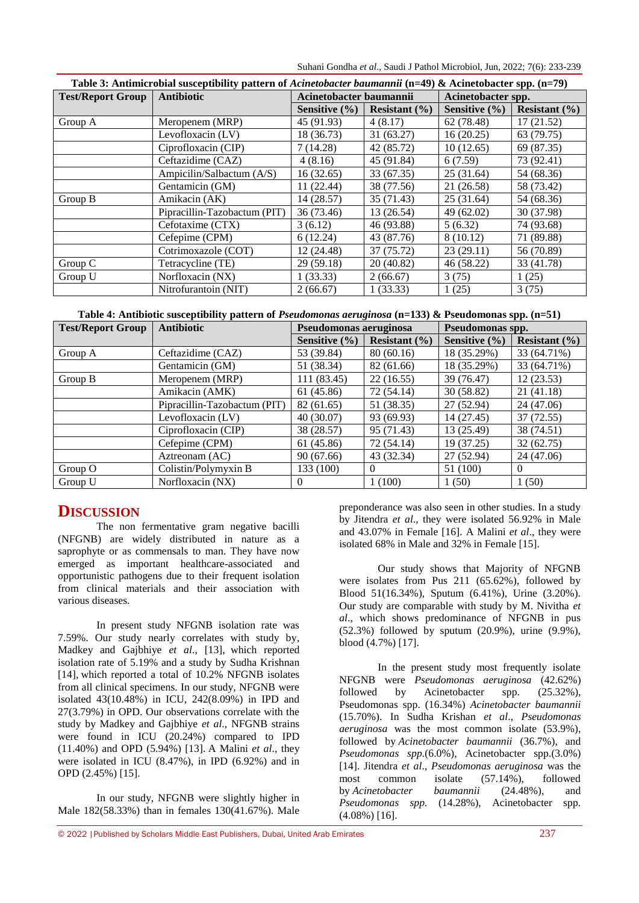Suhani Gondha *et al*., Saudi J Pathol Microbiol, Jun, 2022; 7(6): 233-239

| Table 3: Antimicrobial susceptibility pattern of Acinetobacter baumannii (n=49) & Acinetobacter spp. (n=79) |                              |                         |                   |                    |                   |
|-------------------------------------------------------------------------------------------------------------|------------------------------|-------------------------|-------------------|--------------------|-------------------|
| <b>Test/Report Group</b>                                                                                    | Antibiotic                   | Acinetobacter baumannii |                   | Acinetobacter spp. |                   |
|                                                                                                             |                              | Sensitive (%)           | Resistant $(\% )$ | Sensitive $(\% )$  | Resistant $(\% )$ |
| Group A                                                                                                     | Meropenem (MRP)              | 45 (91.93)              | 4(8.17)           | 62 (78.48)         | 17(21.52)         |
|                                                                                                             | Levofloxacin (LV)            | 18 (36.73)              | 31(63.27)         | 16(20.25)          | 63 (79.75)        |
|                                                                                                             | Ciprofloxacin (CIP)          | 7(14.28)                | 42 (85.72)        | 10(12.65)          | 69 (87.35)        |
|                                                                                                             | Ceftazidime (CAZ)            | 4(8.16)                 | 45 (91.84)        | 6(7.59)            | 73 (92.41)        |
|                                                                                                             | Ampicilin/Salbactum (A/S)    | 16(32.65)               | 33 (67.35)        | 25(31.64)          | 54 (68.36)        |
|                                                                                                             | Gentamicin (GM)              | 11(22.44)               | 38 (77.56)        | 21 (26.58)         | 58 (73.42)        |
| Group B                                                                                                     | Amikacin (AK)                | 14 (28.57)              | 35 (71.43)        | 25(31.64)          | 54 (68.36)        |
|                                                                                                             | Pipracillin-Tazobactum (PIT) | 36 (73.46)              | 13 (26.54)        | 49 (62.02)         | 30 (37.98)        |
|                                                                                                             | Cefotaxime (CTX)             | 3(6.12)                 | 46 (93.88)        | 5(6.32)            | 74 (93.68)        |
|                                                                                                             | Cefepime (CPM)               | 6(12.24)                | 43 (87.76)        | 8(10.12)           | 71 (89.88)        |
|                                                                                                             | Cotrimoxazole (COT)          | 12(24.48)               | 37 (75.72)        | 23(29.11)          | 56 (70.89)        |
| Group C                                                                                                     | Tetracycline (TE)            | 29 (59.18)              | 20(40.82)         | 46 (58.22)         | 33 (41.78)        |
| Group U                                                                                                     | Norfloxacin (NX)             | 1(33.33)                | 2(66.67)          | 3(75)              | 1(25)             |
|                                                                                                             | Nitrofurantoin (NIT)         | 2(66.67)                | 1(33.33)          | 1(25)              | 3(75)             |

**Table 4: Antibiotic susceptibility pattern of** *Pseudomonas aeruginosa* **(n=133) & Pseudomonas spp. (n=51)**

| <b>Test/Report Group</b> | <b>Antibiotic</b>            | Pseudomonas aeruginosa |                   | Pseudomonas spp. |                   |
|--------------------------|------------------------------|------------------------|-------------------|------------------|-------------------|
|                          |                              | Sensitive $(\% )$      | Resistant $(\% )$ | Sensitive (%)    | Resistant $(\% )$ |
| Group A                  | Ceftazidime (CAZ)            | 53 (39.84)             | 80(60.16)         | 18 (35.29%)      | 33 (64.71%)       |
|                          | Gentamicin (GM)              | 51 (38.34)             | 82 (61.66)        | 18 (35.29%)      | 33 (64.71%)       |
| Group B                  | Meropenem (MRP)              | 111 (83.45)            | 22(16.55)         | 39 (76.47)       | 12(23.53)         |
|                          | Amikacin (AMK)               | 61 (45.86)             | 72 (54.14)        | 30(58.82)        | 21 (41.18)        |
|                          | Pipracillin-Tazobactum (PIT) | 82 (61.65)             | 51 (38.35)        | 27 (52.94)       | 24 (47.06)        |
|                          | Levofloxacin (LV)            | 40(30.07)              | 93 (69.93)        | 14 (27.45)       | 37 (72.55)        |
|                          | Ciprofloxacin (CIP)          | 38 (28.57)             | 95 (71.43)        | 13 (25.49)       | 38 (74.51)        |
|                          | Cefepime (CPM)               | 61 (45.86)             | 72 (54.14)        | 19 (37.25)       | 32(62.75)         |
|                          | Aztreonam (AC)               | 90(67.66)              | 43 (32.34)        | 27 (52.94)       | 24 (47.06)        |
| Group O                  | Colistin/Polymyxin B         | 133 (100)              | $\theta$          | 51 (100)         | $\theta$          |
| Group U                  | Norfloxacin (NX)             | 0                      | 1(100)            | 1(50)            | 1(50)             |

## **DISCUSSION**

The non fermentative gram negative bacilli (NFGNB) are widely distributed in nature as a saprophyte or as commensals to man. They have now emerged as important healthcare-associated and opportunistic pathogens due to their frequent isolation from clinical materials and their association with various diseases.

In present study NFGNB isolation rate was 7.59%. Our study nearly correlates with study by, Madkey and Gajbhiye *et al*., [13], which reported isolation rate of 5.19% and a study by Sudha Krishnan [14], which reported a total of 10.2% NFGNB isolates from all clinical specimens. In our study, NFGNB were isolated 43(10.48%) in ICU, 242(8.09%) in IPD and 27(3.79%) in OPD. Our observations correlate with the study by Madkey and Gajbhiye *et al*., NFGNB strains were found in ICU (20.24%) compared to IPD (11.40%) and OPD (5.94%) [13]. A Malini *et al*., they were isolated in ICU (8.47%), in IPD (6.92%) and in OPD (2.45%) [15].

In our study, NFGNB were slightly higher in Male 182(58.33%) than in females 130(41.67%). Male

preponderance was also seen in other studies. In a study by Jitendra *et al*., they were isolated 56.92% in Male and 43.07% in Female [16]. A Malini *et al*., they were isolated 68% in Male and 32% in Female [15].

Our study shows that Majority of NFGNB were isolates from Pus 211 (65.62%), followed by Blood 51(16.34%), Sputum (6.41%), Urine (3.20%). Our study are comparable with study by M. Nivitha *et al*., which shows predominance of NFGNB in pus (52.3%) followed by sputum (20.9%), urine (9.9%), blood (4.7%) [17].

In the present study most frequently isolate NFGNB were *Pseudomonas aeruginosa* (42.62%) followed by Acinetobacter spp.  $(25.32\%)$ , Pseudomonas spp. (16.34%) *Acinetobacter baumannii*  (15.70%). In Sudha Krishan *et al*., *Pseudomonas aeruginosa* was the most common isolate (53.9%), followed by *Acinetobacter baumannii* (36.7%), and *Pseudomonas spp.*(6.0%), Acinetobacter spp.(3.0%) [14]. Jitendra *et al*., *Pseudomonas aeruginosa* was the most common isolate (57.14%), followed by *Acinetobacter baumannii* (24.48%), and *Pseudomonas spp.* (14.28%), Acinetobacter spp. (4.08%) [16].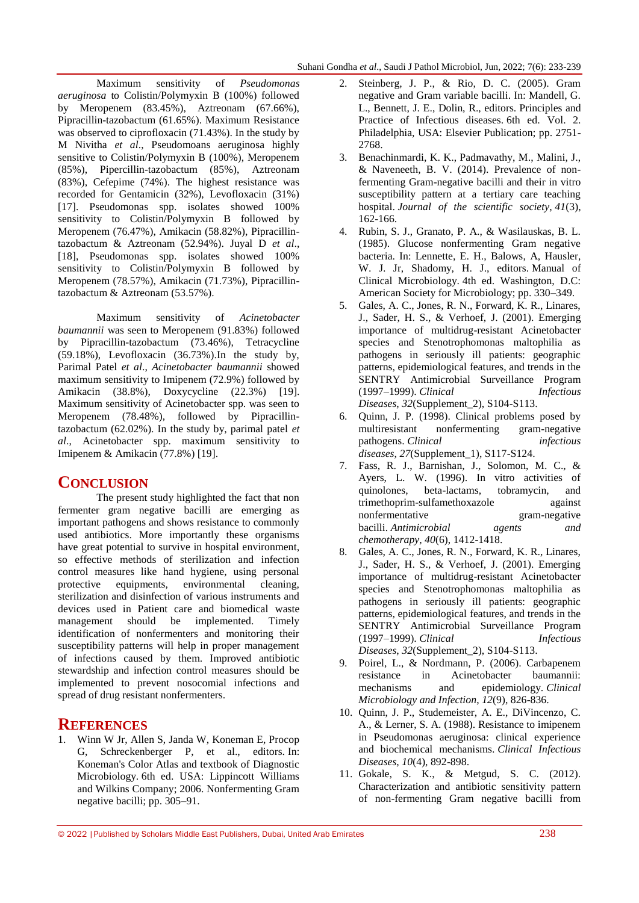Maximum sensitivity of *Pseudomonas aeruginosa* to Colistin/Polymyxin B (100%) followed by Meropenem (83.45%), Aztreonam (67.66%), Pipracillin-tazobactum (61.65%). Maximum Resistance was observed to ciprofloxacin (71.43%). In the study by M Nivitha *et al*., Pseudomoans aeruginosa highly sensitive to Colistin/Polymyxin B (100%), Meropenem (85%), Pipercillin-tazobactum (85%), Aztreonam (83%), Cefepime (74%). The highest resistance was recorded for Gentamicin (32%), Levofloxacin (31%) [17]. Pseudomonas spp. isolates showed 100% sensitivity to Colistin/Polymyxin B followed by Meropenem (76.47%), Amikacin (58.82%), Pipracillintazobactum & Aztreonam (52.94%). Juyal D *et al*., [18], Pseudomonas spp. isolates showed 100% sensitivity to Colistin/Polymyxin B followed by Meropenem (78.57%), Amikacin (71.73%), Pipracillintazobactum & Aztreonam (53.57%).

Maximum sensitivity of *Acinetobacter baumannii* was seen to Meropenem (91.83%) followed by Pipracillin-tazobactum (73.46%), Tetracycline (59.18%), Levofloxacin (36.73%).In the study by, Parimal Patel *et al*., *Acinetobacter baumannii* showed maximum sensitivity to Imipenem (72.9%) followed by Amikacin (38.8%), Doxycycline (22.3%) [19]. Maximum sensitivity of Acinetobacter spp. was seen to Meropenem (78.48%), followed by Pipracillintazobactum (62.02%). In the study by, parimal patel *et al*., Acinetobacter spp. maximum sensitivity to Imipenem & Amikacin (77.8%) [19].

## **CONCLUSION**

The present study highlighted the fact that non fermenter gram negative bacilli are emerging as important pathogens and shows resistance to commonly used antibiotics. More importantly these organisms have great potential to survive in hospital environment, so effective methods of sterilization and infection control measures like hand hygiene, using personal protective equipments, environmental cleaning, sterilization and disinfection of various instruments and devices used in Patient care and biomedical waste management should be implemented. Timely identification of nonfermenters and monitoring their susceptibility patterns will help in proper management of infections caused by them. Improved antibiotic stewardship and infection control measures should be implemented to prevent nosocomial infections and spread of drug resistant nonfermenters.

## **REFERENCES**

1. Winn W Jr, Allen S, Janda W, Koneman E, Procop G, Schreckenberger P, et al., editors. In: Koneman's Color Atlas and textbook of Diagnostic Microbiology. 6th ed. USA: Lippincott Williams and Wilkins Company; 2006. Nonfermenting Gram negative bacilli; pp. 305–91.

- 2. Steinberg, J. P., & Rio, D. C. (2005). Gram negative and Gram variable bacilli. In: Mandell, G. L., Bennett, J. E., Dolin, R., editors. Principles and Practice of Infectious diseases. 6th ed. Vol. 2. Philadelphia, USA: Elsevier Publication; pp. 2751- 2768.
- 3. Benachinmardi, K. K., Padmavathy, M., Malini, J., & Naveneeth, B. V. (2014). Prevalence of nonfermenting Gram-negative bacilli and their in vitro susceptibility pattern at a tertiary care teaching hospital. *Journal of the scientific society*, *41*(3), 162-166.
- 4. Rubin, S. J., Granato, P. A., & Wasilauskas, B. L. (1985). Glucose nonfermenting Gram negative bacteria. In: Lennette, E. H., Balows, A, Hausler, W. J. Jr, Shadomy, H. J., editors. Manual of Clinical Microbiology. 4th ed. Washington, D.C: American Society for Microbiology; pp. 330–349.
- 5. Gales, A. C., Jones, R. N., Forward, K. R., Linares, J., Sader, H. S., & Verhoef, J. (2001). Emerging importance of multidrug-resistant Acinetobacter species and Stenotrophomonas maltophilia as pathogens in seriously ill patients: geographic patterns, epidemiological features, and trends in the SENTRY Antimicrobial Surveillance Program (1997–1999). *Clinical Infectious Diseases*, *32*(Supplement\_2), S104-S113.
- 6. Quinn, J. P. (1998). Clinical problems posed by multiresistant nonfermenting gram-negative pathogens. *Clinical infectious diseases*, *27*(Supplement\_1), S117-S124.
- 7. Fass, R. J., Barnishan, J., Solomon, M. C., & Ayers, L. W. (1996). In vitro activities of quinolones, beta-lactams, tobramycin, and trimethoprim-sulfamethoxazole against nonfermentative gram-negative bacilli. *Antimicrobial agents and chemotherapy*, *40*(6), 1412-1418.
- 8. Gales, A. C., Jones, R. N., Forward, K. R., Linares, J., Sader, H. S., & Verhoef, J. (2001). Emerging importance of multidrug-resistant Acinetobacter species and Stenotrophomonas maltophilia as pathogens in seriously ill patients: geographic patterns, epidemiological features, and trends in the SENTRY Antimicrobial Surveillance Program (1997–1999). *Clinical Infectious Diseases*, *32*(Supplement\_2), S104-S113.
- 9. Poirel, L., & Nordmann, P. (2006). Carbapenem resistance in Acinetobacter baumannii: mechanisms and epidemiology. *Clinical Microbiology and Infection*, *12*(9), 826-836.
- 10. Quinn, J. P., Studemeister, A. E., DiVincenzo, C. A., & Lerner, S. A. (1988). Resistance to imipenem in Pseudomonas aeruginosa: clinical experience and biochemical mechanisms. *Clinical Infectious Diseases*, *10*(4), 892-898.
- 11. Gokale, S. K., & Metgud, S. C. (2012). Characterization and antibiotic sensitivity pattern of non-fermenting Gram negative bacilli from